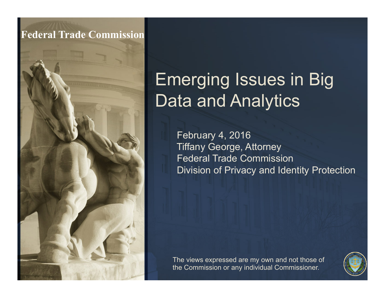#### **Federal Trade Commission**

#### Emerging Issues in Big Data and Analytics

February 4, 2016 Tiffany George, Attorney Federal Trade Commission Division of Privacy and Identity Protection

The views expressed are my own and not those of the Commission or any individual Commissioner.

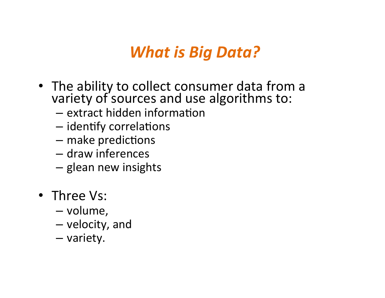#### *What is Big Data?*

- The ability to collect consumer data from a variety of sources and use algorithms to:
	- $-$  extract hidden information
	- $-$  identify correlations
	- $-$  make predictions
	- draw inferences
	- glean new insights
- Three Vs:
	- volume,
	- $-$  velocity, and
	- variety.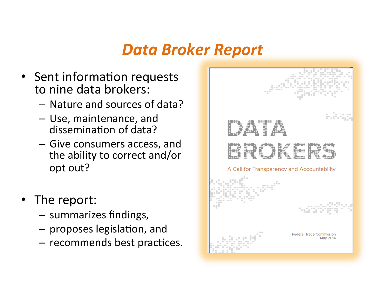#### *Data Broker Report*

- Sent information requests to nine data brokers:
	- Nature and sources of data?
	- $-$  Use, maintenance, and dissemination of data?
	- $-$  Give consumers access, and the ability to correct and/or opt out?
- The report:
	- $-$  summarizes findings,
	- $-$  proposes legislation, and
	- $-$  recommends best practices.

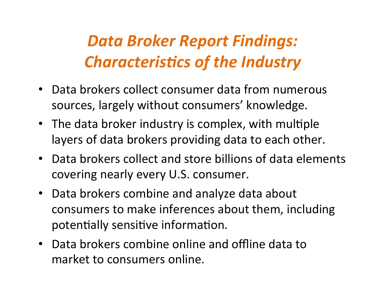#### *Data Broker Report Findings:*  **Characteristics of the Industry**

- Data brokers collect consumer data from numerous sources, largely without consumers' knowledge.
- The data broker industry is complex, with multiple layers of data brokers providing data to each other.
- Data brokers collect and store billions of data elements covering nearly every U.S. consumer.
- Data brokers combine and analyze data about consumers to make inferences about them, including potentially sensitive information.
- Data brokers combine online and offline data to market to consumers online.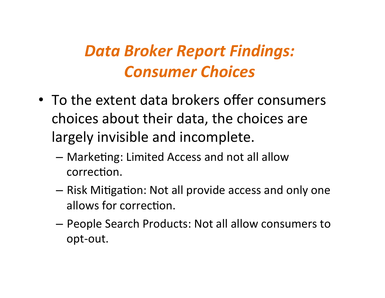#### *Data Broker Report Findings: Consumer Choices*

- To the extent data brokers offer consumers choices about their data, the choices are largely invisible and incomplete.
	- $-$  Marketing: Limited Access and not all allow correction.
	- $-$  Risk Mitigation: Not all provide access and only one allows for correction.
	- $-$  People Search Products: Not all allow consumers to opt-out.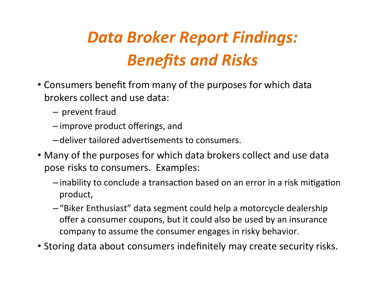#### *Data Broker Report Findings: Benefits and Risks*

- Consumers benefit from many of the purposes for which data brokers collect and use data:
	- $-$  prevent fraud
	- –improve product offerings, and
	- $-\theta$  deliver tailored advertisements to consumers.
- Many of the purposes for which data brokers collect and use data pose risks to consumers. Examples:
	- $-$ inability to conclude a transaction based on an error in a risk mitigation product,
	- $-$  "Biker Enthusiast" data segment could help a motorcycle dealership offer a consumer coupons, but it could also be used by an insurance company to assume the consumer engages in risky behavior.
- Storing data about consumers indefinitely may create security risks.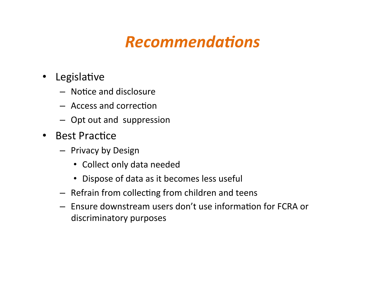#### **Recommendations**

- Legislative
	- Notice and disclosure
	- $-$  Access and correction
	- Opt out and suppression
- Best Practice
	- Privacy by Design
		- Collect only data needed
		- Dispose of data as it becomes less useful
	- $-$  Refrain from collecting from children and teens
	- $-$  Ensure downstream users don't use information for FCRA or discriminatory purposes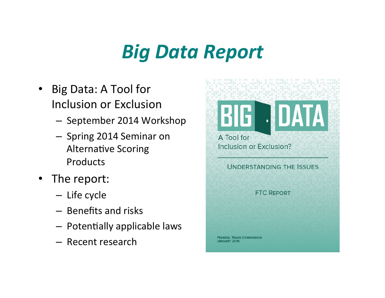### *Big Data Report*

- Big Data: A Tool for Inclusion or Exclusion
	- September 2014 Workshop
	- Spring 2014 Seminar on Alternative Scoring Products
- The report:
	- Life cycle
	- $-$  Benefits and risks
	- Potentially applicable laws
	- Recent research

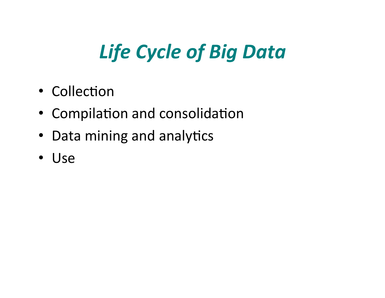# **Life Cycle of Big Data**

- Collection
- Compilation and consolidation
- Data mining and analytics
- Use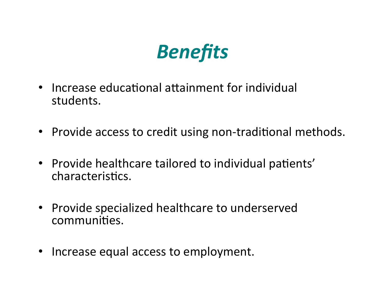### *Benefits*

- Increase educational attainment for individual students.
- Provide access to credit using non-traditional methods.
- Provide healthcare tailored to individual patients' characteristics.
- Provide specialized healthcare to underserved communities.
- Increase equal access to employment.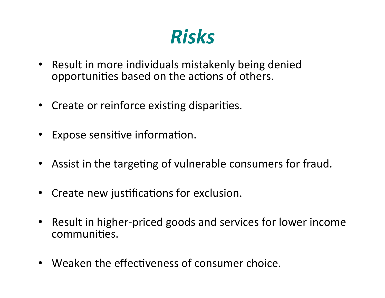#### *Risks*

- Result in more individuals mistakenly being denied opportunities based on the actions of others.
- Create or reinforce existing disparities.
- Expose sensitive information.
- Assist in the targeting of vulnerable consumers for fraud.
- Create new justifications for exclusion.
- Result in higher-priced goods and services for lower income communities.
- Weaken the effectiveness of consumer choice.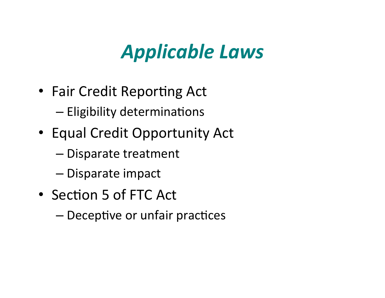# *Applicable Laws*

- Fair Credit Reporting Act
	- Eligibility determinations
- Equal Credit Opportunity Act
	- Disparate treatment
	- Disparate impact
- Section 5 of FTC Act
	- Deceptive or unfair practices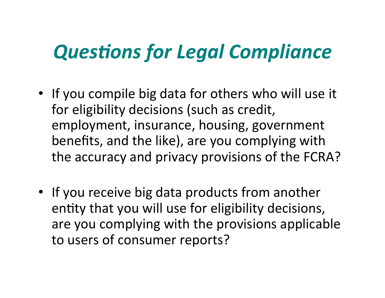# **Questions for Legal Compliance**

- If you compile big data for others who will use it for eligibility decisions (such as credit, employment, insurance, housing, government benefits, and the like), are you complying with the accuracy and privacy provisions of the FCRA?
- If you receive big data products from another entity that you will use for eligibility decisions, are you complying with the provisions applicable to users of consumer reports?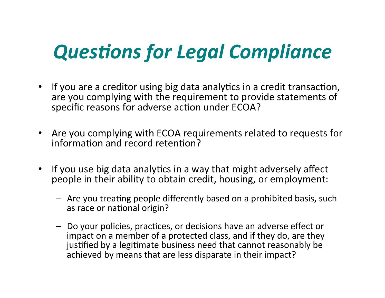# **Questions for Legal Compliance**

- If you are a creditor using big data analytics in a credit transaction, are you complying with the requirement to provide statements of specific reasons for adverse action under ECOA?
- Are you complying with ECOA requirements related to requests for information and record retention?
- If you use big data analytics in a way that might adversely affect people in their ability to obtain credit, housing, or employment:
	- $-$  Are you treating people differently based on a prohibited basis, such as race or national origin?
	- $-$  Do your policies, practices, or decisions have an adverse effect or impact on a member of a protected class, and if they do, are they justified by a legitimate business need that cannot reasonably be achieved by means that are less disparate in their impact?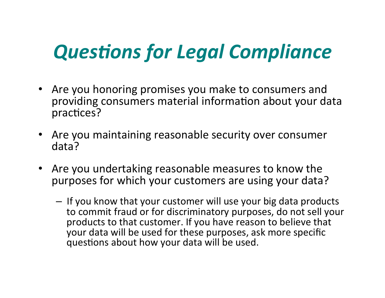# **Questions for Legal Compliance**

- Are you honoring promises you make to consumers and providing consumers material information about your data practices?
- Are you maintaining reasonable security over consumer data?
- Are you undertaking reasonable measures to know the purposes for which your customers are using your data?
	- $-$  If you know that your customer will use your big data products to commit fraud or for discriminatory purposes, do not sell your products to that customer. If you have reason to believe that your data will be used for these purposes, ask more specific questions about how your data will be used.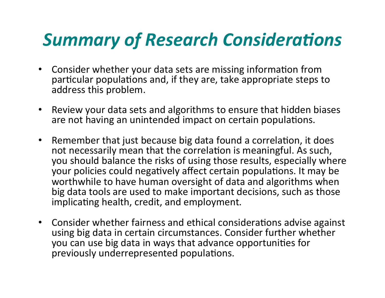#### **Summary of Research Considerations**

- Consider whether your data sets are missing information from particular populations and, if they are, take appropriate steps to address this problem.
- Review your data sets and algorithms to ensure that hidden biases are not having an unintended impact on certain populations.
- Remember that just because big data found a correlation, it does not necessarily mean that the correlation is meaningful. As such, you should balance the risks of using those results, especially where your policies could negatively affect certain populations. It may be worthwhile to have human oversight of data and algorithms when big data tools are used to make important decisions, such as those implicating health, credit, and employment.
- Consider whether fairness and ethical considerations advise against using big data in certain circumstances. Consider further whether you can use big data in ways that advance opportunities for previously underrepresented populations.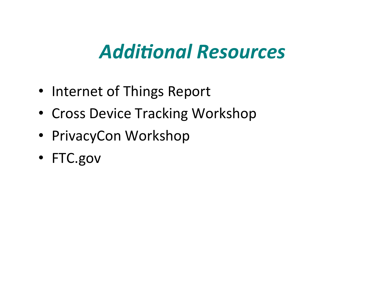#### **Additional Resources**

- Internet of Things Report
- Cross Device Tracking Workshop
- PrivacyCon Workshop
- FTC.gov